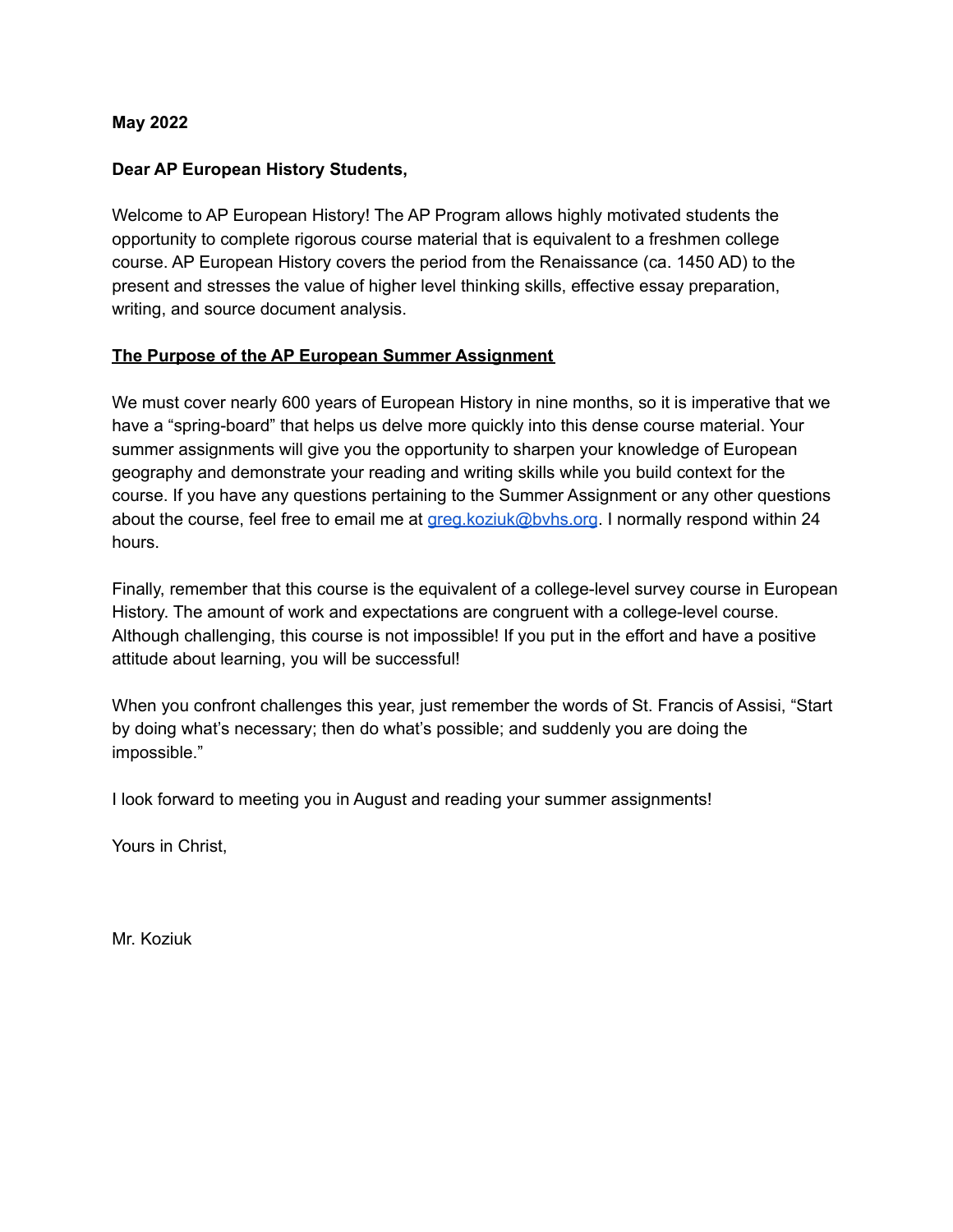## **May 2022**

## **Dear AP European History Students,**

Welcome to AP European History! The AP Program allows highly motivated students the opportunity to complete rigorous course material that is equivalent to a freshmen college course. AP European History covers the period from the Renaissance (ca. 1450 AD) to the present and stresses the value of higher level thinking skills, effective essay preparation, writing, and source document analysis.

## **The Purpose of the AP European Summer Assignment**

We must cover nearly 600 years of European History in nine months, so it is imperative that we have a "spring-board" that helps us delve more quickly into this dense course material. Your summer assignments will give you the opportunity to sharpen your knowledge of European geography and demonstrate your reading and writing skills while you build context for the course. If you have any questions pertaining to the Summer Assignment or any other questions about the course, feel free to email me at [greg.koziuk@bvhs.org](mailto:greg.koziuk@bvhs.org). I normally respond within 24 hours.

Finally, remember that this course is the equivalent of a college-level survey course in European History. The amount of work and expectations are congruent with a college-level course. Although challenging, this course is not impossible! If you put in the effort and have a positive attitude about learning, you will be successful!

When you confront challenges this year, just remember the words of St. Francis of Assisi, "Start by doing what's necessary; then do what's possible; and suddenly you are doing the impossible."

I look forward to meeting you in August and reading your summer assignments!

Yours in Christ,

Mr. Koziuk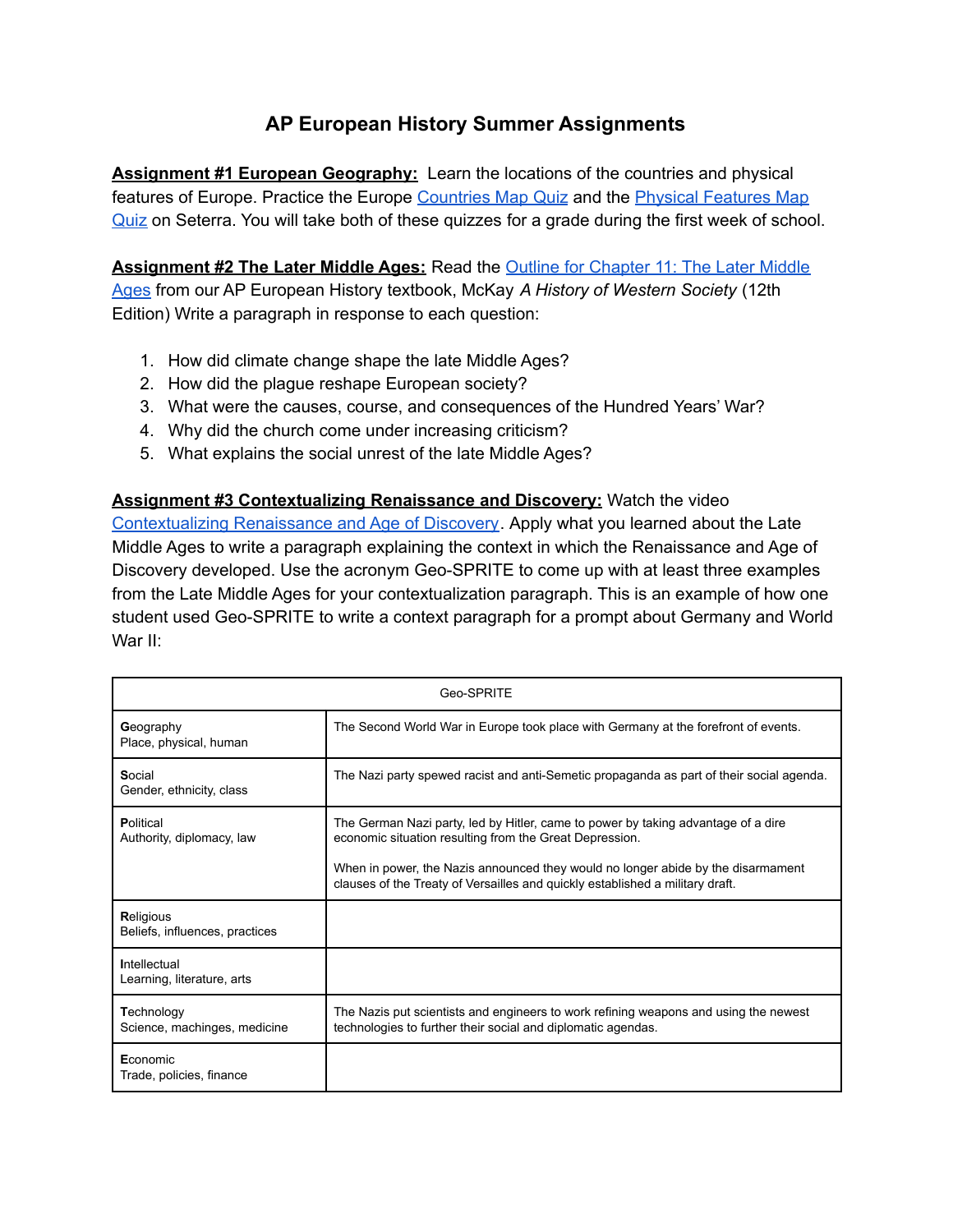## **AP European History Summer Assignments**

**Assignment #1 European Geography:** Learn the locations of the countries and physical features of Europe. Practice the Europe [Countries](https://online.seterra.com/en/vgp/3007) Map Quiz and the Physical [Features](https://online.seterra.com/en/vgp/3453) Map [Quiz](https://online.seterra.com/en/vgp/3453) on Seterra. You will take both of these quizzes for a grade during the first week of school.

**Assignment #2 The Later Middle Ages:** Read the Outline for [Chapter](https://www.dropbox.com/s/5giosoqivgdjjev/11%20Chapter%20Outline.docx?dl=0) 11: The Later Middle [Ages](https://www.dropbox.com/s/5giosoqivgdjjev/11%20Chapter%20Outline.docx?dl=0) from our AP European History textbook, McKay *A History of Western Society* (12th Edition) Write a paragraph in response to each question:

- 1. How did climate change shape the late Middle Ages?
- 2. How did the plague reshape European society?
- 3. What were the causes, course, and consequences of the Hundred Years' War?
- 4. Why did the church come under increasing criticism?
- 5. What explains the social unrest of the late Middle Ages?

**Assignment #3 Contextualizing Renaissance and Discovery:** Watch the video [Contextualizing](https://www.youtube.com/watch?v=Na8Nsr9wHB4) Renaissance and Age of Discovery. Apply what you learned about the Late Middle Ages to write a paragraph explaining the context in which the Renaissance and Age of Discovery developed. Use the acronym Geo-SPRITE to come up with at least three examples from the Late Middle Ages for your contextualization paragraph. This is an example of how one student used Geo-SPRITE to write a context paragraph for a prompt about Germany and World War II:

| Geo-SPRITE                                         |                                                                                                                                                                                                                                                                                                                   |
|----------------------------------------------------|-------------------------------------------------------------------------------------------------------------------------------------------------------------------------------------------------------------------------------------------------------------------------------------------------------------------|
| Geography<br>Place, physical, human                | The Second World War in Europe took place with Germany at the forefront of events.                                                                                                                                                                                                                                |
| Social<br>Gender, ethnicity, class                 | The Nazi party spewed racist and anti-Semetic propaganda as part of their social agenda.                                                                                                                                                                                                                          |
| Political<br>Authority, diplomacy, law             | The German Nazi party, led by Hitler, came to power by taking advantage of a dire<br>economic situation resulting from the Great Depression.<br>When in power, the Nazis announced they would no longer abide by the disarmament<br>clauses of the Treaty of Versailles and quickly established a military draft. |
| <b>Religious</b><br>Beliefs, influences, practices |                                                                                                                                                                                                                                                                                                                   |
| Intellectual<br>Learning, literature, arts         |                                                                                                                                                                                                                                                                                                                   |
| Technology<br>Science, machinges, medicine         | The Nazis put scientists and engineers to work refining weapons and using the newest<br>technologies to further their social and diplomatic agendas.                                                                                                                                                              |
| Economic<br>Trade, policies, finance               |                                                                                                                                                                                                                                                                                                                   |